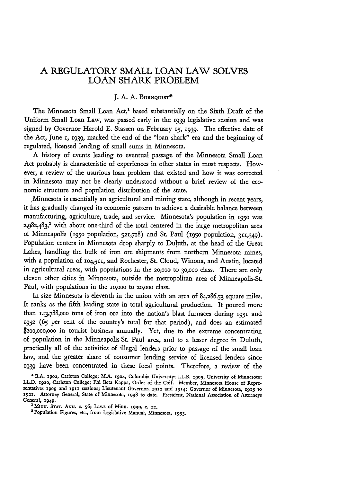# A REGULATORY SMALL LOAN LAW SOLVES LOAN SHARK PROBLEM

### **J. A. A. BURNOUIST\***

The Minnesota Small Loan Act,<sup>1</sup> based substantially on the Sixth Draft of the Uniform Small Loan Law, was passed early in the 1939 legislative session and was signed by Governor Harold E. Stassen on February **15,** 1939. The effective date of the Act, June **i,** 1939, marked the end of the "loan shark" era and the beginning of regulated, licensed lending of small sums in Minnesota.

A history of events leading to eventual passage of the Minnesota Small Loan Act probably is characteristic of experiences in other states in most respects. However, a review of the usurious loan problem that existed and how it was corrected in Minnesota may not be clearly understood without a brief review of the economic structure and population distribution of the state.

Minnesota is essentially an agricultural and mining state, although in recent years, it has gradually changed its economic pattern to achieve a desirable balance between manufacturing, agriculture, trade, and service. Minnesota's population in **1950** was 2,982,483,<sup>2</sup> with about one-third of the total centered in the large metropolitan area of Minneapolis (950 population, 521,718) and St. Paul **(x95o** population, 311,349). Population centers in Minnesota drop sharply to Duluth, at the head of the Great Lakes, handling the bulk of iron ore shipments from northern Minnesota mines, with a population of **104,511,** and Rochester, St. Cloud, Winona, and Austin, located in agricultural areas, with populations in the 20,000 to 30,000 class. There are only eleven other cities in Minnesota, outside the metropolitan area of Minneapolis-St. Paul, with populations in the 10,000 to 20,000 class.

In size Minnesota is eleventh in the union with an area of 84,286.53 square miles. It ranks as the fifth leading state in total agricultural production. It poured more than 143,788,000 tons of iron ore into the nation's blast furnaces during 1951 and 1952 **(65** per cent of the country's total for that period), and does an estimated \$200,000,000 in tourist business annually. Yet, due to the extreme concentration of population in the Minneapolis-St. Paul area, and to a lesser degree in Duluth, practically all of the activities of illegal lenders prior to passage of the small loan law, and the greater share of consumer lending service of licensed lenders since 1939 have been concentrated in these focal points. Therefore, a review of the

**<sup>0</sup>** B.A. **1902,** Carleton College; M.A. **1904,** Columbia University; LL.B. **19o5,** University of Minnesota; LL.D. **x920,** Carleton College; Phi Beta Kappa, Order of the Coif. Member, Minnesota House of Representatives **i9o9** and **1911** sessions; Lieutenant Governor, **1912** and **1914;** Governor of Minnesota, **1915 to 1921.** Attorney General, State of Minnesota, **1938** to date. President, National Association of Attorneys General, **1949.**

<sup>&#</sup>x27;MtNN. **STAT.** *ANN.* c. **56;** Laws of Minn. **1939, c. 12.**

<sup>&#</sup>x27;Population Figures, etc., from Legislative Manual, Minnesota, **1953.**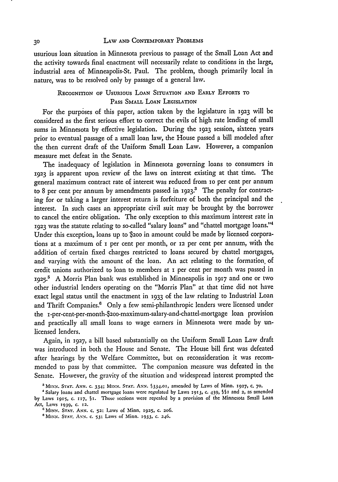usurious loan situation in Minnesota previous to passage of the Small Loan Act and the activity towards final enactment will necessarily relate to conditions in the large, industrial area of Minneapolis-St. Paul. The problem, though primarily local in nature, was to be resolved only by passage of a general law.

## **REcOGNITION OF USURIOUS LOAN SITUATION AND EARLY** EFFORTS **TO PASS SMALL LOAN** LEGISLATION

For the purposes of this paper, action taken by the legislature in 1923 will be considered as the first serious effort to correct the evils of high rate lending of small sums in Minnesota by effective legislation. During the 1923 session, sixteen years prior to eventual passage of a small loan law, the House passed a bill modeled after the then current draft of the Uniform Small Loan Law. However, a companion measure met defeat in the Senate.

The inadequacy of legislation in Minnesota governing loans to consumers in 1923 is apparent upon review of the laws on interest existing at that time. The general maximum contract rate of interest was reduced from io per cent per annum to 8 per cent per annum by amendments passed in 1923.? The penalty for contracting for or taking a larger interest return is forfeiture of both the principal and the interest. In such cases an appropriate civil suit may be brought by the borrower to cancel the entire obligation. The only exception to this maximum interest rate in 1923 was the statute relating to so-called "salary loans" and "chattel mortgage loans."<sup>4</sup> Under this exception, loans up to \$2oo in amount could be made by licensed corporations at a maximum of I per cent per month, or **12** per cent per annum, with the addition of certain fixed charges restricted to loans secured by chattel mortgages, and varying with the amount of the loan. An act relating to the formation, of credit unions authorized to loan to members at I per cent per month was passed in **x925.'** A Morris Plan bank was established in Minneapolis in **1917** and one or two other industrial lenders operating on the "Morris Plan" at that time did not have exact legal status until the enactment in 1933 of the law relating to Industrial Loan and Thrift Companies.<sup>6</sup> Only a few semi-philanthropic lenders were licensed under the i-per-cent-per-month-\$2oo-maximum-salary-and-chattel-mortgage loan provision and practically all small loans to wage earners in Minnesota were made by unlicensed lenders.

Again, in **1927,** a bill based substantially on the Uniform Small Loan Law draft was introduced in both the House and Senate. The House bill first was defeated after hearings by the Welfare Committee, but on reconsideration it was recommended to pass by that committee. The companion measure was defeated in the Senate. However, the gravity of the situation and widespread interest prompted the

a **MINN. STAT. ANN. C.** 334; **MINN. STAT. ANN. §334.01,** amended by Laws of Minn. **1927, c. 70.**

<sup>&#</sup>x27;Salary loans and chattel mortgage loans were regulated by Laws **1913, C.** 439, **§ §** and 2, as amended by Laws **19T5, C. 117, §1.** Those sections were repeal'd by a provision of the Minnesota Small Loan Act, Laws **1939, C.** 12.

**MiNN. STr&r.** *AN-.* **C. 52:** Laws of Minn. **1925, C.** 2o6. 0MiN. S'.'. **ANN.** c. **53,** Laws of Minn. **1933,** c. **246.**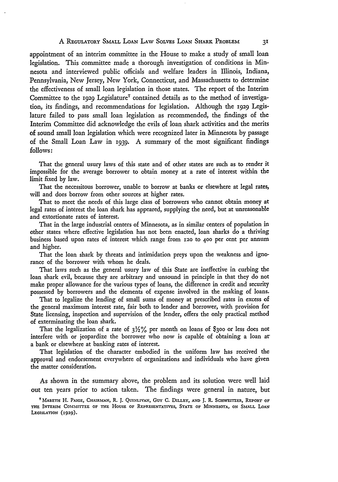#### **A** REGULATORY **SMALL** LOAN LAw **SOLVES** LOAN SHARK PROBLEM

appointment of an interim committee in the House to make a study of small loan legislation. This committee made a thorough investigation of conditions in Minnesota and interviewed public officials and welfare leaders in Illinois, Indiana, Pennsylvania, New Jersey, New York, Connecticut, and Massachusetts to determine the effectiveness of small loan legislation in those states. The report of the Interim Committee to the 1929 Legislature<sup>7</sup> contained details as to the method of investigation, its findings, and recommendations for legislation. Although the **1929** Legislature failed to pass small loan legislation as recommended, the findings of the Interim Committee did acknowledge the evils of loan shark activities and the merits of sound small loan legislation which were recognized later in Minnesota **by** passage of the Small Loan Law in 1939. **A** summary of the most significant findings follows:

That the general usury laws of this state and of other states are such as to render **it** impossible for the average borrower to obtain money at a rate of interest within the limit fixed **by** law.

That the necessitous borrower, unable to borrow at banks or elsewhere at legal rates, will and does borrow from other sources at higher rates.

That to meet the needs of this large class of borrowers who cannot obtain money at legal rates of interest the loan shark has appeared, supplying the need, but at unreasonable and extortionate rates of interest.

That in the large industrial centers of Minnesota, as in similar centers of population in other states where effective legislation has not been enacted, loan sharks do a thriving business based upon rates of interest which range **from 120 to 400** per cent per annum and higher.

That the loan shark **by** threats and intimidation preys upon the weakness and igno**rance of** the borrower with whom he deals.

That laws such as the general usury law of this State are ineffective in curbing the loan shark evil, because they are arbitrary and unsound in principle in that they do not **make** proper allowance for the various types of loans, the difference in credit and security possessed **by** borrowers and the elements of expense involved in the making of loans.

That to legalize the lending of small sums of money at prescribed rates in excess of the general maximum interest rate, fair both to lender and borrower, with provision for State licensing, inspection and supervision of the lender, offers the only practical method of exterminating the loan shark.

That the legalization of a rate **of 3V2%** per month on loans of **\$3oo or less does not** interfere with or jeopardize the borrower who now is capable of obtaining a loan at **a** bank or elsewhere at banking rates of interest.

That legislation of the character embodied in the uniform law has received the approval and endorsement everywhere of organizations and individuals who have given the matter consideration.

As shown in the summary above, the problem and its solution were well laid out ten years prior to action taken. The findings were general in nature, but

<sup>7</sup> MABETH H. PAIGE, CHAIRMAN, R. J. QUINLIVAN, GUY C. DILLEY, AND J. R. SCHWEITZER, REPORT OF THE INTERIM COMMITTEE OF THE HOUSE OF REPRESENTATIVES, STATE OF MINNESOTA, ON SMALL LOAN **LEGISLATION (1929).**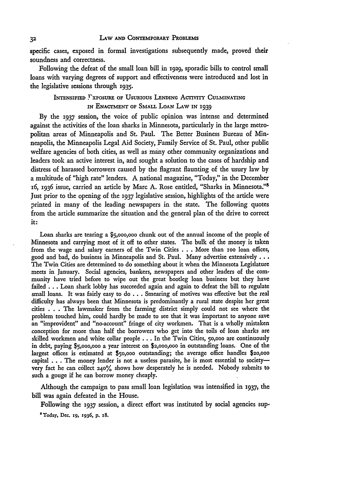specific cases, exposed in formal investigations subsequently made, proved their soundness and correctness.

Following the defeat of the small loan bill in 1929, sporadic bills to control small loans with varying degrees of support and effectiveness were introduced and lost in the legislative sessions through 1935.

# **INTENSIFIED .TXPOSURE OF USURIOUS LENDING ACTIVITY CULMINATING IN ENACTMENT** OF **SMALL LOAN LAw** IN 1939

By the **1937** session, the voice of public opinion was intense and determined against the activities of the loan sharks in Minnesota, particularly in the large metropolitan areas of Minneapolis and St. Paul. The Better Business Bureau of Minneapolis, the Minneapolis Legal Aid Society, Family Service of St. Paul, other public welfare agencies of both cities, as well as many other community organizations and leaders took an active interest in, and sought a solution to the cases of hardship and distress of harassed borrowers caused by the flagrant flaunting of the usury law by a multitude of "high rate" lenders. A national magazine, "Today," in the December *I6,* 1936 issue, carried an article by Marc A. Rose entitled, "Sharks in Minnesota."<sup>S</sup> Just prior to the opening of the 1937 legislative session, highlights of the article were printed in many of the leading newspapers in the state. The following quotes from the article summarize the situation and the general plan of the drive to correct **it:**

Loan sharks are tearing a \$5,000,000 chunk out of the annual income of the people of Minnesota and carrying most of it off to other states. The bulk of the money is taken from the wage and salary earners of the Twin Cities .**.**.More than zoo loan offices, good and bad, do business in Minneapolis and St. Paul. Many advertise extensively **...** The Twin Cities are determined to do something about it when the Minnesota Legislature meets in January. Social agencies, bankers, newspapers and other leaders of the community have tried before to wipe out the great bootleg loan business but they have failed ... Loan shark lobby has succeeded again and again to defeat the bill to regulate small loans. It was fairly easy to do **...** Smearing of motives was effective but the real difficulty has always been that Minnesota is predominantly a rural state despite her great cities ..**.**The lawmaker from the farming district simply could not see where the problem touched him, could hardly be made to see that it was important to anyone save **an** "improvident" and "no-account" fringe of city workmen. That is a wholly mistaken conception for more than half the borrowers who get into the toils of loan sharks **are** skilled workmen and white collar people **...** In the Twin Cities, **50,00o** are continuously in debt, paying \$5,ooo,ooo a year interest on **\$2,000,000** in outstanding loans. One of the largest offices is estimated at \$5oooo outstanding; the average office handles **\$20,000** capital . . . The money lender is not a useless parasite, he is most essential to societyvery fact he can collect **2400/** shows how desperately he is needed. Nobody submits to such a gouge if he can borrow money cheaply.

Although the campaign to pass small loan legislation was intensified in 1937, the bill was again defeated in the House.

Following the 1937 session, a direct effort was instituted by social agencies sup-

8Today, Dec. *19, 1936,* **p. 18.**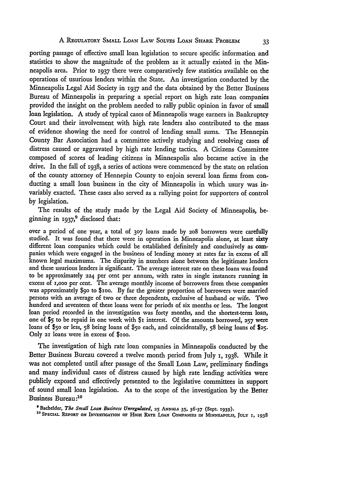porting passage of effective small loan legislation to secure specific information and statistics to show the magnitude of the problem as it actually existed in the Minneapolis area. Prior to 1937 there were comparatively few statistics available on the operations of usurious lenders within the State. An investigation conducted by the Minneapolis Legal Aid Society in 1937 and the data obtained by the Better Business Bureau of Minneapolis in preparing a special report on high rate loan companies provided the insight on the problem needed to rally public opinion in favor of small loan legislation. A study of typical cases of Minneapolis wage earners in Bankruptcy Court and their involvement with high rate lenders also contributed to the mass of evidence showing the need for control of lending small sums. The Hennepin County Bar Association had a committee actively studying and resolving cases of distress caused or aggravated by high rate lending tactics. A Citizens Committee composed of scores of leading citizens in Minneapolis also became active in the drive. In the fall of 1938, a series of actions were commenced by the state on relation of the county attorney of Hennepin County to enjoin several loan firms from conducting a small loan business in the city of Minneapolis in which usury was invariably exacted. These cases also served as a rallying point for supporters of control by legislation.

The results of the study made by the Legal Aid Society of Minneapolis, beginning in  $1937$ ,<sup>9</sup> disclosed that:

over a period of one year, a total of **307** loans made by **208** borrowers were carefully studied. It was found that there were in operation in Minneapolis alone, at least sixty different loan companies which could be established definitely and conclusively as companies which were engaged in the business of lending money at rates far in excess of all known legal maximums. The disparity in numbers alone between the legitimate lenders and these usurious lenders is significant. The average interest rate on these loans was found to be approximately 224 per cent per annum, with rates in single instances running in excess of i,ooo per cent. The average monthly income of borrowers from these companies was approximately **\$90** to \$roo. By far the greater proportion of borrowers were married persons with an average of two or three dependents, exclusive of husband or wife. Two hundred and seventeen of these loans were for periods of six months or less. The longest loan period recorded in the investigation was forty months, and the shortest-term loan, one of \$5 to be repaid in one week with **Si** interest. Of the amounts borrowed, **257** were loans **of \$50** or less, 58 being loans **of** *\$50* each, and coincidentally, 58 being loans of **\$25.** Only **21** loans were in excess of \$ioo.

The investigation of high rate loan companies in Minneapolis conducted by the Better Business Bureau covered a twelve month period from July 1, 1938. While it was not completed until after passage of the Small Loan Law, preliminary findings and many individual cases of distress caused by high rate lending activities were publicly exposed and effectively presented to the legislative committees in support of sound small loan legislation. As to the scope of the investigation by the Better Business Bureau:10

<sup>9</sup> Bachelder, The Small Loan Business Unregulated, 25 ANNALS 35, 36-37 (Sept. 1939).<br><sup>10</sup> SPECIAL REPORT ON INVESTIGATION OF HIGH RATE LOAN COMPANIES IN MINNEAPOLIS, JULY 1, 1938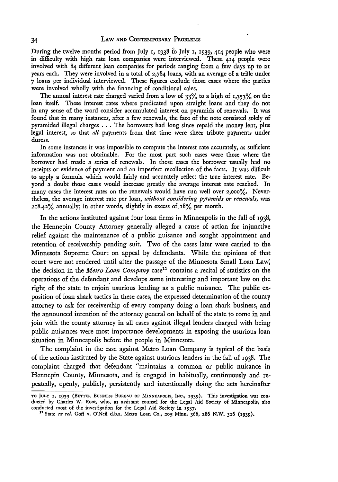During the twelve months period from July 1, 1938 to July 1, 1939, 414 people who were in difficulty with high rate loan companies were interviewed. These 414 people were involved with 84 different loan companies for periods ranging from a few days up to **21** years each. They were involved in a total of **2,784** loans, with an average of a trifle under 7 loans per individual interviewed. These figures exclude those cases where the parties were involved wholly with the financing of conditional sales.

The annual interest rate charged varied from a low of **33%** to a high of 1,353% on the loan itself. These interest rates where predicated upon straight loans and they do not in any sense of the word consider accumulated interest on pyramids of renewals. It was found that in many instances, after a few renewals, the face of the note consisted solely of pyramided illegal charges .. .The borrowers had long since repaid the money lent, plus legal interest, so that *all* payments from that time were sheer tribute payments under duress.

In some instances it was impossible to compute the interest rate accurately, as sufficient information was not obtainable. For the most part such cases were those where the borrower had made a series of renewals. In those cases the borrower usually had no receipts or evidence of payment and an imperfect recollection of the facts. It was difficult to apply a formula which would fairly and accurately reflect the true interest rate. Beyond a doubt those cases would increase greatly the average interest rate reached. In many cases the interest rates on the renewals would have run well over 2,ooo%. Nevertheless, the average interest rate per loan, *without considering pyramids or renewals,* was 218.42% annually; in other words, slightly in excess of. **I8%** per month.

In the actions instituted against four loan firms in Minneapolis in the fall of 1938, the Hennepin County Attorney generally alleged a cause of action for injunctive relief against the maintenance of a public nuisance and sought appointment and retention of receivership pending suit. Two of the cases later were carried to the Minnesota Supreme Court on appeal by defendants. While the opinions of that court were not rendered until after the passage of the Minnesota Small Loan Law, the decision in the *Metro Loan Company* case<sup>11</sup> contains a recital of statistics on the operations of the defendant and develops some interesting and important law on the right of the state to enjoin usurious lending as a public nuisance. The public exposition of loan shark tactics in these cases, the expressed determination of the county attorney to ask for receivership of every company doing a loan shark business, and the announced intention of the attorney general on behalf of the state to come in and join with the county attorney in all cases against illegal lenders charged with being public nuisances were most importance developments in exposing the usurious loan situation in Minneapolis before the people in Minnesota.

The complaint in the case against Metro Loan Company is typical of the basis of the actions instituted by the State against usurious lenders in the fall of 1938. The complaint charged that defendant "maintains a common or public nuisance in Hennepin County, Minnesota, and is engaged in habitually, continuously and repeatedly, openly, publicly, persistently and intentionally doing the acts hereinafter

**TO JULY 1, 1939** (BrTraR BusiNEss **BUREAU** OF **MINNEAPOLIS, INc., 1939).** This investigation was conducted **by** Charles W. Root, who, as assistant counsel for the Legal Aid Society of Minneapolis, also conducted most of the investigation for the Legal Aid Society in 1937.

**<sup>&</sup>quot;'** State ex *rel.* Goff v. O'Neil d.b.a. Metro Loan Co., **205** Minn. *366,* **286** N.W. *316* (1939).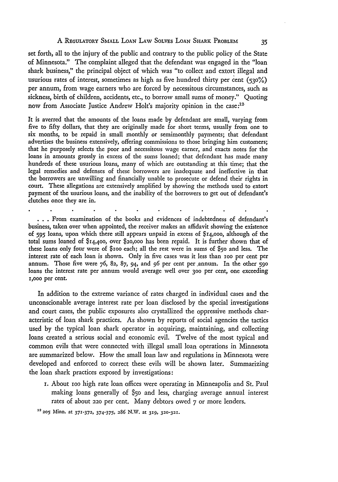#### A REGULATORY **SMALL LOAN** LAW SOLVES **LOAN** SHARK PROBLEM

set forth, all to the injury of the public and contrary to the public policy of the State of Minnesota." The complaint alleged that the defendant was engaged in the "loan shark business," the principal object of which was "to collect and extort illegal and usurious rates of interest, sometimes as high as five hundred thirty per cent **(530%)** per annum, from wage earners who are forced by necessitous circumstances, such as sickness, birth of children, accidents, etc., to borrow small sums of money." Quoting now from Associate Justice Andrew Holt's majority opinion in the case:<sup>12</sup>

It is averred that the amounts of the loans made by defendant are small, varying from five to fifty dollars, that they are originally made for short terms, usually from one to six months, to be repaid in small monthly or semimonthly payments; that defendant advertises the business extensively, offering commissions to those bringing him customers; that he purposely selects the poor and necessitous wage earner, and exacts notes for the loans in amounts grossly in excess of the sums loaned; that defendant has made many hundreds of these usurious loans, many of which are outstanding at this time; that the legal remedies and defenses of these borrowers are inadequate and ineffective in that the borrowers are unwilling and financially unable to prosecute or defend their rights in court. These allegations are extensively amplified by showing the methods used to extort payment of the usurious loans, and the inability of the borrowers to get out of defendant's clutches once they are in.

... From examination of the books and evidences of indebtedness of defendant's business, taken over when appointed, the receiver makes an affidavit showing the existence of 595 loans, upon which there still appears unpaid in excess of \$14,ooo, although of the total sums loaned of \$14,400, over \$2o,ooo has been repaid. It is further shown that of these loans only four were of Sioo each; all the rest were in sums of \$5o and less. The interest rate of each loan is shown. Only in five cases was it less than ioo per cent per annum. Those five were 76, 82, 87, 94, and 96 per cent per .annum. In the other **590** loans the interest rate per annum would average well over **300** per cent, one exceeding i,ooo per cent.

In addition to the extreme variance of rates charged in individual cases and the unconscionable average interest rate per loan disclosed by the special investigations and court cases, the public exposures also crystallized the oppressive methods characteristic of loan shark practices. As shown by reports of social agencies the tactics used by the typical loan shark operator in acquiring, maintaining, and collecting loans created a serious social and economic evil. Twelve of the most typical and common evils that were connected with illegal small loan operations in Minnesota are summarized below. How the small loan law and regulations in Minnesota were developed and enforced to correct these evils will be shown later. Summarizing the loan shark practices exposed by investigations:

**i.** About ioo high rate loan offices were operating in Minneapolis and St. Paul making loans generally of \$5o and less, charging average annual interest rates of about 220 per cent. Many debtors owed 7 or more lenders.

**12 205** Minn. at **371-372, 374-375, 286** N.W. at **319, 320-321.**

35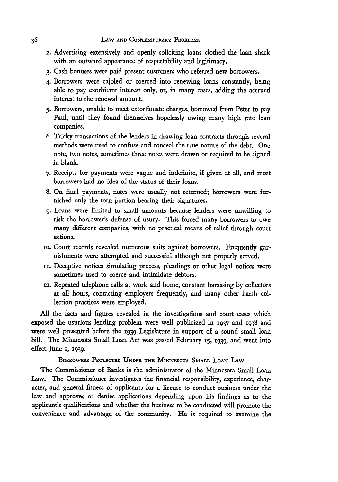- **2.** Advertising extensively and openly soliciting loans clothed the loan shark with an outward appearance of respectability and legitimacy.
- **3-** Cash bonuses were paid present customers who referred new borrowers.
- 4. Borrowers were cajoled or coerced into renewing loans constantly, being able to pay exorbitant interest only, or, in many cases, adding the accrued interest to the renewal amount.
- **5.** Borrowers, unable to meet extortionate charges, borrowed from Peter to pay Paul, until they found themselves hopelessly owing many high rate loan companies.
- *6.* Tricky transactions of the lenders in drawing loan contracts through several methods were used to confuse and conceal the true nature of the debt. One note, two notes, sometimes three notes were drawn or required to be signed in blank.
- **7.** Receipts for payments were vague and indefinite, if given at all, and most borrowers had no idea of the status of their loans.
- **8.** On final payments, notes were usually not returned; borrowers were furnished only the torn portion bearing their signatures.
- 9. Loans were limited to small amounts because lenders were unwilling to risk the borrower's defense of usury. This forced many borrowers to owe many different companies, with no practical means of relief through court actions.
- xo. Court records revealed numerous suits against borrowers. Frequently garnishments were attempted and successful although not properly served.
- II. Deceptive notices simulating process, pleadings or other legal notices were sometimes used to coerce and intimidate debtors.
- **12.** Repeated telephone calls at work and home, constant harassing by collectors at all hours, contacting employers frequently, and many other harsh collection practices were employed.

All the facts and figures revealed in the investigations and court cases which exposed the usurious lending problem were well publicized in **1937** and 1938 and were well presented before the 1939 Legislature in support of a sound small loan bill. The Minnesota Small Loan Act was passed February **15,** 1939, and went into effect June **I,** 1939.

BORROWERS PROTECTED UNDER THE MINNESOTA SMALL LOAN LAW

The Commissioner of Banks is the administrator of the Minnesota Small Loan Law. The Commissioner investigates the financial responsibility, experience, character, and general fitness of applicants for a license to conduct business under the law and approves or denies applications depending upon his findings as to the applicant's qualifications and whether the business to be conducted will promote the convenience and advantage of the community. He is required to examine the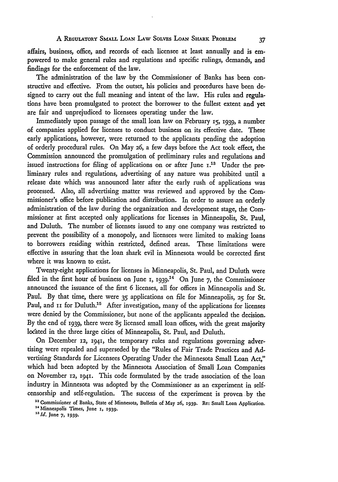affairs, business, office, and records of each licensee at least annually and is empowered to make general rules and regulations and specific rulings, demands, and findings for the enforcement of the law.

The administration of the law by the Commissioner of Banks has been constructive and effective. From the outset, his policies and procedures have been designed to carry out the full meaning and intent of the law. His rules and regulations have been promulgated to protect the borrower to the fullest extent and yet are fair and unprejudiced to licensees operating under the law.

Immediately upon passage of the small loan law on February **15, i939,** a number of companies applied for licenses to conduct business on its effective date. These early applications, however, were returned to the applicants pending the adoption of orderly procedural rules. On May **26,** a few days before the Act took effect, the Commission announced the promulgation of preliminary rules and regulations and issued instructions for filing of applications on or after June  $I<sup>13</sup>$  Under the preliminary rules and regulations, advertising of any nature was prohibited until a release date which was announced later after the early rush of applications was processed. Also, all advertising matter was reviewed and approved by the Commissioner's office before publication and distribution. In order to assure an orderly administration of the law during the organization and development stage, the Commissioner at first accepted only applications for licenses in Minneapolis, St. Paul, and Duluth. The number of licenses issued to any one company was restricted to prevent the possibility of a monopoly, and licensees were limited to making loans to borrowers residing within restricted, defined areas. These limitations were effective in assuring that the loan shark evil in Minnesota would be corrected first where it was known to exist.

Twenty-eight applications for licenses in Minneapolis, St. Paul, and Duluth were filed in the first hour of business on June **i,** i939.14 On June **7,** the Commissioner announced the issuance of the first **6** licenses, all for offices in Minneapolis and St. Paul. By that time, there were 35 applications on file for Minneapolis, **25** for St. Paul, and **11** for Duluth.<sup>15</sup> After investigation, many of the applications for licenses were denied by the Commissioner, but none of the applicants appealed the decision. By the end of 1939, there were **85** licensed small loan offices, with the great majority located in the three large cities of Minneapolis, St. Paul, and Duluth.

On December **12, 1941,** the temporary rules and regulations governing advertising were repealed and superseded by the "Rules of Fair Trade Practices and Advertising Standards for Licensees Operating Under the Minnesota Small Loan Act," which had been adopted by the Minnesota Association of Small Loan Companies on November **12, 1941.** This code formulated by the trade association of the loan industry in Minnesota was adopted by the Commissioner as an experiment in selfcensorship and self-regulation. The success of the experiment is proven by the

**<sup>&</sup>quot;'** Commissioner **of** Banks, State **of** Minnesota, Bulletin **of May 26, 1939. Re:** Small **Loan** Application.

**<sup>&</sup>quot;'** Minneapolis Tunes, June 1, **1939.**

*<sup>&</sup>quot;Id.* June 7, **1939.**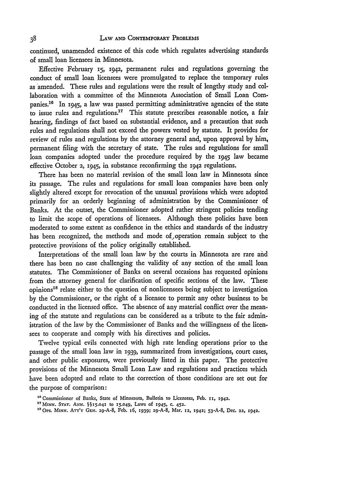continued, unamended existence of this code which regulates advertising standards of small loan licensees in Minnesota.

Effective February 15, **1942,** permanent rules and regulations governing the conduct of small loan licensees were promulgated to replace the temporary rules as amended. These rules and regulations were the result of lengthy study and collaboration with a committee of the Minnesota Association of Small Loan Companies. In 1945, a law was passed permitting administrative agencies of the state to issue rules and regulations.<sup>17</sup> This statute prescribes reasonable notice, a fair hearing, findings of fact based on substantial evidence, and a precaution that such rules and regulations shall not exceed the powers vested by statute. It provides for review of rules and regulations by the attorney general and, upon approval by him, permanent filing with the secretary of state. The rules and regulations for small loan companies adopted under the procedure required by the 1945 law became effective October 2, 1945, in substance reconfirming the 1942 regulations.

There has been no material revision of the small loan law in Minnesota since its passage. The rules and regulations for small loan companies have been only slightly altered except for revocation of the unusual provisions which were adopted primarily for an orderly beginning of administration by the Commissioner of Banks. At the outset, the Commissioner adopted rather stringent policies tending to limit the scope of operations of licensees. Although these policies have been moderated to some extent as confidence in the ethics and standards of the industry has been recognized, the methods and mode of operation remain subject to the protective provisions of the policy originally established.

Interpretations of the small loan law by the courts in Minnesota are rare and there has been no case challenging the validity of any section of the small loan statutes. The Commissioner of Banks on several occasions has requested opinions from the attorney general for clarification of specific sections of the law. These opinions<sup>18</sup> relate either to the question of nonlicensees being subject to investigation by the Commissioner, or the right of a licensee to permit any other business to be conducted in the licensed office. The absence of any material conflict over the meaning of the statute and regulations can be considered as a tribute to the fair administration of the law by the Commissioner of Banks and the willingness of the licensees to cooperate and comply with his directives and policies.

Twelve typical evils connected with high rate lending operations prior to the passage of the small loan law in 1939, summarized from investigations, court cases, and other public exposures, were previously listed in this paper. The protective provisions of the Minnesota Small Loan Law and regulations and practices which have been adopted and relate to the correction of those conditions are set out for the purpose of comparison:

**<sup>1&</sup>quot;** Commissioner of Banks, State of Minnesota, Bulletin to Licensees, Feb. **11, 1942.**

**<sup>&#</sup>x27; <sup>T</sup> MINN. STAT.** ANN. **§§15.041** to **15.049,** Laws of **1945, c. 452.**

**<sup>&</sup>quot;OPs.** *MINN.* **ATr'y GEN. 29-A-8,** Feb. 16, **1939; 29-A-8,** Mar. **12, 1942; 53-A-8, Dec. 22, 1942.**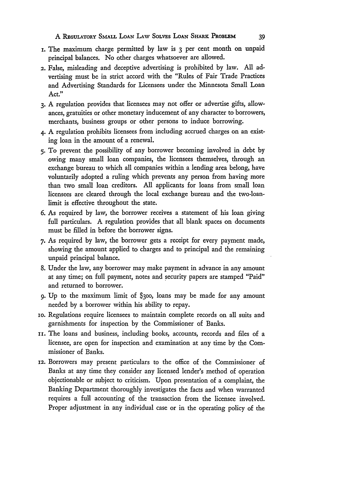- **i.** The maximum charge permitted by law is 3 per cent month on unpaid principal balances. No other charges whatsoever are allowed.
- **2.** False, misleading and deceptive advertising is prohibited by law. All advertising must be in strict accord with the "Rules of Fair Trade Practices and Advertising Standards for Licensees under the Minnesota Small Loan Act."
- 3. A regulation provides that licensees may not offer or advertise gifts, allowances, gratuities or other monetary inducement of any character to borrowers, merchants, business groups or other persons to induce borrowing.
- 4. A regulation prohibits licensees from including accrued charges on an existing loan in the amount of a renewal.
- 5. To prevent the possibility of any borrower becoming involved in debt by owing many small loan companies, the licensees themselves, through an exchange bureau to which all companies within a lending area belong, have voluntarily adopted a ruling which prevents any person from having more than two small loan creditors. All applicants for loans from small loan licensees are cleared through the local exchange bureau and the two-loanlimit is effective throughout the state.
- *6.* As required by law, the borrower receives a statement of his loan giving full particulars. A regulation provides that all blank spaces on documents must be filled in before the borrower signs.
- 7. As required by law, the borrower gets a receipt for every payment made, showing the amount applied to charges and to principal and the remaining unpaid principal balance.
- 8. Under the law, any borrower may make payment in advance in any amount at any time; on full payment, notes and security papers are stamped "Paid" and returned to borrower.
- 9. Up to the maximum limit of \$3oo, loans may be made for any amount needed by a borrower within his ability to repay.
- io. Regulations require licensees to maintain complete records on all suits and garnishments for inspection by the Commissioner of Banks.
- **ixi.** The loans and business, including books, accounts, records and files of a licensee, are open for inspection and examination at any time by the Commissioner of Banks.
- **12.** Borrowers may present particulars to the office of the Commissioner of Banks at any time they consider any licensed lender's method of operation objectionable or subject to criticism. Upon presentation of a complaint, the Banking Department thoroughly investigates the facts and when warranted requires a full accounting of the transaction from the licensee involved. Proper adjustment in any individual case or in the operating policy of the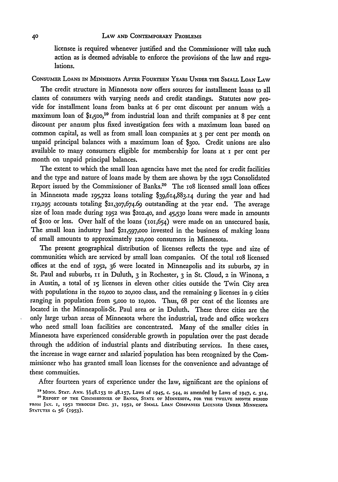### LAW **AND** CONTEMPORARY PROBLEMS

licensee is required whenever justified and the Commissioner will take such action as is deemed advisable to enforce the provisions of the law and regulations.

CONSUMER **LOANS IN** MINNESOTA **APrER** FOURTEEN YEARS **UNDER THE SMALL LOAN** LAw

The credit structure in Minnesota now offers sources for installment loans to all classes of consumers with varying needs and credit standings. Statutes now provide for installment loans from banks at **6** per cent discount per annum with a maximum loan of **\$I,5oo,1"** from industrial loan and thrift companies at 8 per cent discount per annum plus fixed investigation fees with a maximum loan based on common capital, as well as from small loan companies at 3 per cent per month on unpaid principal balances with a maximum loan of \$3oo. Credit unions are also available to many consumers eligible for membership for loans at i per cent per month on unpaid principal balances.

The extent to which the small loan agencies have met the need for credit facilities and the type and nature of loans made by them are shown by the **1952** Consolidated Report issued by the Commissioner of Banks.<sup>20</sup> The 108 licensed small loan offices in Minnesota made **195,722** loans totaling \$39,614,883.14 during the year and had 119,295 accounts totaling \$21,307,674.69 outstanding at the year end. The average size of loan made during **1952** was \$20240, and **45,530** loans were made in amounts of \$100 or less. Over half of the loans (101,654) were made on an unsecured basis. The small loan industry had \$21,597,000 invested in the business of making loans of small amounts to approximately **120,000** consumers in Minnesota.

The present geographical distribution of licenses reflects the type and size of communities which are serviced by small loan companies. Of the total 108 licensed offices at the end **of 1952, 36** were located in Minneapolis and its suburbs, **27** in St. Paul and suburbs, **ii** in Duluth, 3 in Rochester, 3 in St. Cloud, **2** in Winona, **<sup>2</sup>** in Austin, a total of **15** licenses in eleven other cities outside the Twin City area with populations in the io,ooo to **o,ooo** class, and the remaining **9** licenses in **9** cities ranging in population from **5,000** to io,ooo. Thus, **68** per cent of the licenses are located in the Minneapolis-St. Paul area or in Duluth. These three cities are the only large urban areas of Minnesota where the industrial, trade and office workers who need small loan facilities are concentrated. Many of the smaller cities in Minnesota have experienced considerable growth in population over the past decade through the addition of industrial plants and distributing services. In these cases, the increase in wage earner and salaried population has been recognized by the Commissioner who has granted small loan licenses for the convenience and advantage of these commuities.

After fourteen years of experience under the law, significant are the opinions of

40

<sup>&</sup>lt;sup>29</sup> MINN. STAT. ANN. **5§48.153 to 48.157, Laws of 1945, c. 544**, as amended by Laws of 1947, c. 314.<br><sup>20</sup> REPORT OF THE COMMISSIONER OF BANKS, STATE OF MINNESOTA, FOR THE TWELVE MONTH PERIOD **FROM JAN. 1, 1952 THROCOH DEc. 31, 1952, OF SMALL LOAN COMPANIES LICENSED UNDER MINNESOTA** STATUTES C<sub>t</sub> 56 (1953).